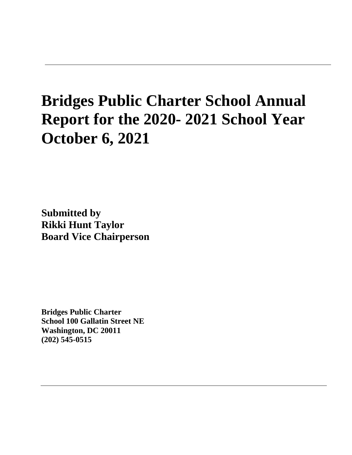# **Bridges Public Charter School Annual Report for the 2020- 2021 School Year October 6, 2021**

**Submitted by Rikki Hunt Taylor Board Vice Chairperson**

**Bridges Public Charter School 100 Gallatin Street NE Washington, DC 20011 (202) 545-0515**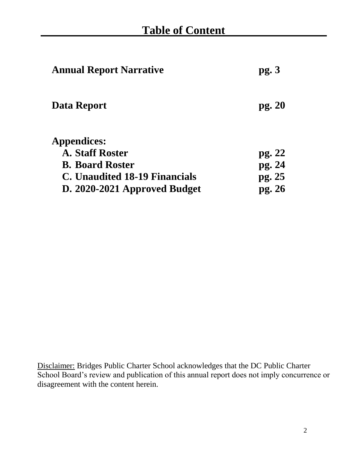| <b>Annual Report Narrative</b> | pg.3   |
|--------------------------------|--------|
| Data Report                    | pg. 20 |
| <b>Appendices:</b>             |        |
| <b>A. Staff Roster</b>         | pg. 22 |
| <b>B. Board Roster</b>         | pg. 24 |
| C. Unaudited 18-19 Financials  | pg. 25 |
| D. 2020-2021 Approved Budget   | pg. 26 |

Disclaimer: Bridges Public Charter School acknowledges that the DC Public Charter School Board's review and publication of this annual report does not imply concurrence or disagreement with the content herein.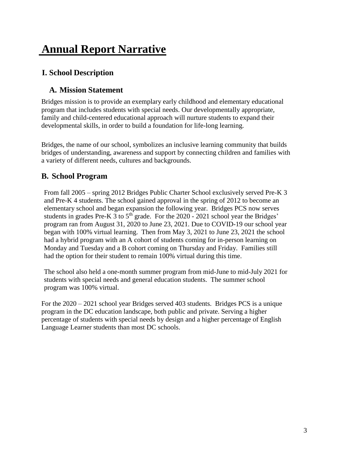## **Annual Report Narrative**

### **I. School Description**

### **A. Mission Statement**

Bridges mission is to provide an exemplary early childhood and elementary educational program that includes students with special needs. Our developmentally appropriate, family and child-centered educational approach will nurture students to expand their developmental skills, in order to build a foundation for life-long learning.

Bridges, the name of our school, symbolizes an inclusive learning community that builds bridges of understanding, awareness and support by connecting children and families with a variety of different needs, cultures and backgrounds.

### **B. School Program**

From fall 2005 – spring 2012 Bridges Public Charter School exclusively served Pre-K 3 and Pre-K 4 students. The school gained approval in the spring of 2012 to become an elementary school and began expansion the following year. Bridges PCS now serves students in grades Pre-K 3 to  $5<sup>th</sup>$  grade. For the 2020 - 2021 school year the Bridges' program ran from August 31, 2020 to June 23, 2021. Due to COVID-19 our school year began with 100% virtual learning. Then from May 3, 2021 to June 23, 2021 the school had a hybrid program with an A cohort of students coming for in-person learning on Monday and Tuesday and a B cohort coming on Thursday and Friday. Families still had the option for their student to remain 100% virtual during this time.

The school also held a one-month summer program from mid-June to mid-July 2021 for students with special needs and general education students. The summer school program was 100% virtual.

For the 2020 – 2021 school year Bridges served 403 students. Bridges PCS is a unique program in the DC education landscape, both public and private. Serving a higher percentage of students with special needs by design and a higher percentage of English Language Learner students than most DC schools.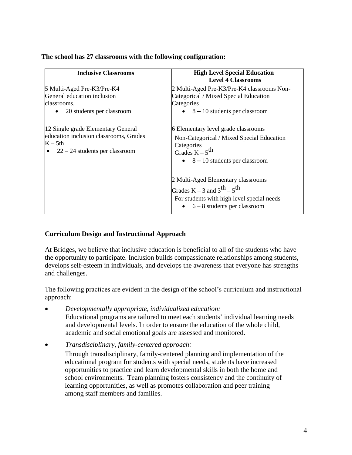| <b>Inclusive Classrooms</b>                                                                                                   | <b>High Level Special Education</b><br><b>Level 4 Classrooms</b>                                                                                                          |  |
|-------------------------------------------------------------------------------------------------------------------------------|---------------------------------------------------------------------------------------------------------------------------------------------------------------------------|--|
| 5 Multi-Aged Pre-K3/Pre-K4<br>General education inclusion<br>classrooms.<br>20 students per classroom                         | 2 Multi-Aged Pre-K3/Pre-K4 classrooms Non-<br>Categorical / Mixed Special Education<br>Categories<br>$\bullet$ 8 – 10 students per classroom                              |  |
| 12 Single grade Elementary General<br>education inclusion classrooms, Grades<br>$K - 5th$<br>$22 - 24$ students per classroom | 6 Elementary level grade classrooms<br>Non-Categorical / Mixed Special Education<br>Categories<br>Grades $K - 5$ <sup>th</sup><br>$\bullet$ 8 – 10 students per classroom |  |
|                                                                                                                               | 2 Multi-Aged Elementary classrooms<br>Grades $K - 3$ and $3^{th} - 5^{th}$<br>For students with high level special needs<br>$\bullet$ 6 – 8 students per classroom        |  |

### **Curriculum Design and Instructional Approach**

At Bridges, we believe that inclusive education is beneficial to all of the students who have the opportunity to participate. Inclusion builds compassionate relationships among students, develops self-esteem in individuals, and develops the awareness that everyone has strengths and challenges.

The following practices are evident in the design of the school's curriculum and instructional approach:

- *Developmentally appropriate, individualized education:* Educational programs are tailored to meet each students' individual learning needs and developmental levels. In order to ensure the education of the whole child,
	- academic and social emotional goals are assessed and monitored.
- *Transdisciplinary, family-centered approach:*

Through transdisciplinary, family-centered planning and implementation of the educational program for students with special needs, students have increased opportunities to practice and learn developmental skills in both the home and school environments. Team planning fosters consistency and the continuity of learning opportunities, as well as promotes collaboration and peer training among staff members and families.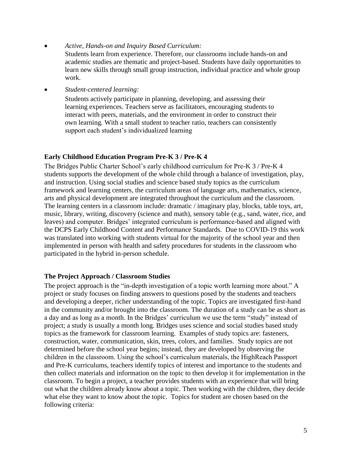• *Active, Hands-on and Inquiry Based Curriculum:*

Students learn from experience. Therefore, our classrooms include hands-on and academic studies are thematic and project-based. Students have daily opportunities to learn new skills through small group instruction, individual practice and whole group work.

• *Student-centered learning:*

Students actively participate in planning, developing, and assessing their learning experiences. Teachers serve as facilitators, encouraging students to interact with peers, materials, and the environment in order to construct their own learning. With a small student to teacher ratio, teachers can consistently support each student's individualized learning

#### **Early Childhood Education Program Pre-K 3 / Pre-K 4**

The Bridges Public Charter School's early childhood curriculum for Pre-K 3 / Pre-K 4 students supports the development of the whole child through a balance of investigation, play, and instruction. Using social studies and science based study topics as the curriculum framework and learning centers, the curriculum areas of language arts, mathematics, science, arts and physical development are integrated throughout the curriculum and the classroom. The learning centers in a classroom include: dramatic / imaginary play, blocks, table toys, art, music, library, writing, discovery (science and math), sensory table (e.g., sand, water, rice, and leaves) and computer. Bridges' integrated curriculum is performance-based and aligned with the DCPS Early Childhood Content and Performance Standards. Due to COVID-19 this work was translated into working with students virtual for the majority of the school year and then implemented in person with health and safety procedures for students in the classroom who participated in the hybrid in-person schedule.

#### **The Project Approach / Classroom Studies**

The project approach is the "in-depth investigation of a topic worth learning more about." A project or study focuses on finding answers to questions posed by the students and teachers and developing a deeper, richer understanding of the topic. Topics are investigated first-hand in the community and/or brought into the classroom. The duration of a study can be as short as a day and as long as a month. In the Bridges' curriculum we use the term "study" instead of project; a study is usually a month long. Bridges uses science and social studies based study topics as the framework for classroom learning. Examples of study topics are: fasteners, construction, water, communication, skin, trees, colors, and families. Study topics are not determined before the school year begins; instead, they are developed by observing the children in the classroom. Using the school's curriculum materials, the HighReach Passport and Pre-K curriculums, teachers identify topics of interest and importance to the students and then collect materials and information on the topic to then develop it for implementation in the classroom. To begin a project, a teacher provides students with an experience that will bring out what the children already know about a topic. Then working with the children, they decide what else they want to know about the topic. Topics for student are chosen based on the following criteria: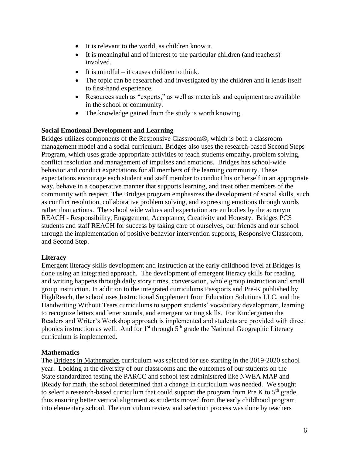- It is relevant to the world, as children know it.
- It is meaningful and of interest to the particular children (and teachers) involved.
- It is mindful  $-$  it causes children to think.
- The topic can be researched and investigated by the children and it lends itself to first-hand experience.
- Resources such as "experts," as well as materials and equipment are available in the school or community.
- The knowledge gained from the study is worth knowing.

#### **Social Emotional Development and Learning**

Bridges utilizes components of the Responsive Classroom®, which is both a classroom management model and a social curriculum. Bridges also uses the research-based Second Steps Program, which uses grade-appropriate activities to teach students empathy, problem solving, conflict resolution and management of impulses and emotions. Bridges has school-wide behavior and conduct expectations for all members of the learning community. These expectations encourage each student and staff member to conduct his or herself in an appropriate way, behave in a cooperative manner that supports learning, and treat other members of the community with respect. The Bridges program emphasizes the development of social skills, such as conflict resolution, collaborative problem solving, and expressing emotions through words rather than actions. The school wide values and expectation are embodies by the acronym REACH - Responsibility, Engagement, Acceptance, Creativity and Honesty. Bridges PCS students and staff REACH for success by taking care of ourselves, our friends and our school through the implementation of positive behavior intervention supports, Responsive Classroom, and Second Step.

#### **Literacy**

Emergent literacy skills development and instruction at the early childhood level at Bridges is done using an integrated approach. The development of emergent literacy skills for reading and writing happens through daily story times, conversation, whole group instruction and small group instruction. In addition to the integrated curriculums Passports and Pre-K published by HighReach, the school uses Instructional Supplement from Education Solutions LLC, and the Handwriting Without Tears curriculums to support students' vocabulary development, learning to recognize letters and letter sounds, and emergent writing skills. For Kindergarten the Readers and Writer's Workshop approach is implemented and students are provided with direct phonics instruction as well. And for  $1<sup>st</sup>$  through  $5<sup>th</sup>$  grade the National Geographic Literacy curriculum is implemented.

#### **Mathematics**

The Bridges in Mathematics curriculum was selected for use starting in the 2019-2020 school year. Looking at the diversity of our classrooms and the outcomes of our students on the State standardized testing the PARCC and school test administered like NWEA MAP and iReady for math, the school determined that a change in curriculum was needed. We sought to select a research-based curriculum that could support the program from Pre K to  $5<sup>th</sup>$  grade, thus ensuring better vertical alignment as students moved from the early childhood program into elementary school. The curriculum review and selection process was done by teachers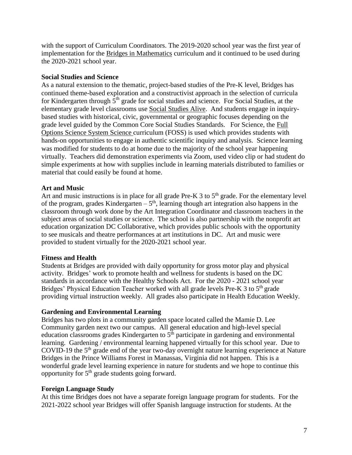with the support of Curriculum Coordinators. The 2019-2020 school year was the first year of implementation for the Bridges in Mathematics curriculum and it continued to be used during the 2020-2021 school year.

#### **Social Studies and Science**

As a natural extension to the thematic, project-based studies of the Pre-K level, Bridges has continued theme-based exploration and a constructivist approach in the selection of curricula for Kindergarten through  $5<sup>th</sup>$  grade for social studies and science. For Social Studies, at the elementary grade level classrooms use Social Studies Alive. And students engage in inquirybased studies with historical, civic, governmental or geographic focuses depending on the grade level guided by the Common Core Social Studies Standards. For Science, the Full Options Science System Science curriculum (FOSS) is used which provides students with hands-on opportunities to engage in authentic scientific inquiry and analysis. Science learning was modified for students to do at home due to the majority of the school year happening virtually. Teachers did demonstration experiments via Zoom, used video clip or had student do simple experiments at how with supplies include in learning materials distributed to families or material that could easily be found at home.

#### **Art and Music**

Art and music instructions is in place for all grade Pre-K  $3$  to  $5<sup>th</sup>$  grade. For the elementary level of the program, grades Kindergarten  $-5<sup>th</sup>$ , learning though art integration also happens in the classroom through work done by the Art Integration Coordinator and classroom teachers in the subject areas of social studies or science. The school is also partnership with the nonprofit art education organization DC Collaborative, which provides public schools with the opportunity to see musicals and theatre performances at art institutions in DC. Art and music were provided to student virtually for the 2020-2021 school year.

#### **Fitness and Health**

Students at Bridges are provided with daily opportunity for gross motor play and physical activity. Bridges' work to promote health and wellness for students is based on the DC standards in accordance with the Healthy Schools Act. For the 2020 - 2021 school year Bridges' Physical Education Teacher worked with all grade levels Pre-K 3 to  $5<sup>th</sup>$  grade providing virtual instruction weekly. All grades also participate in Health Education Weekly.

#### **Gardening and Environmental Learning**

Bridges has two plots in a community garden space located called the Mamie D. Lee Community garden next two our campus. All general education and high-level special education classrooms grades Kindergarten to  $5<sup>th</sup>$  participate in gardening and environmental learning. Gardening / environmental learning happened virtually for this school year. Due to COVID-19 the  $5<sup>th</sup>$  grade end of the year two-day overnight nature learning experience at Nature Bridges in the Prince Williams Forest in Manassas, Virginia did not happen. This is a wonderful grade level learning experience in nature for students and we hope to continue this opportunity for  $5<sup>th</sup>$  grade students going forward.

#### **Foreign Language Study**

At this time Bridges does not have a separate foreign language program for students. For the 2021-2022 school year Bridges will offer Spanish language instruction for students. At the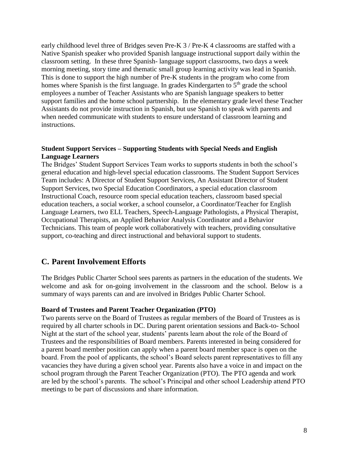early childhood level three of Bridges seven Pre-K 3 / Pre-K 4 classrooms are staffed with a Native Spanish speaker who provided Spanish language instructional support daily within the classroom setting. In these three Spanish- language support classrooms, two days a week morning meeting, story time and thematic small group learning activity was lead in Spanish. This is done to support the high number of Pre-K students in the program who come from homes where Spanish is the first language. In grades Kindergarten to  $5<sup>th</sup>$  grade the school employees a number of Teacher Assistants who are Spanish language speakers to better support families and the home school partnership. In the elementary grade level these Teacher Assistants do not provide instruction in Spanish, but use Spanish to speak with parents and when needed communicate with students to ensure understand of classroom learning and instructions.

#### **Student Support Services – Supporting Students with Special Needs and English Language Learners**

The Bridges' Student Support Services Team works to supports students in both the school's general education and high-level special education classrooms. The Student Support Services Team includes: A Director of Student Support Services, An Assistant Director of Student Support Services, two Special Education Coordinators, a special education classroom Instructional Coach, resource room special education teachers, classroom based special education teachers, a social worker, a school counselor, a Coordinator/Teacher for English Language Learners, two ELL Teachers, Speech-Language Pathologists, a Physical Therapist, Occupational Therapists, an Applied Behavior Analysis Coordinator and a Behavior Technicians. This team of people work collaboratively with teachers, providing consultative support, co-teaching and direct instructional and behavioral support to students.

### **C. Parent Involvement Efforts**

The Bridges Public Charter School sees parents as partners in the education of the students. We welcome and ask for on-going involvement in the classroom and the school. Below is a summary of ways parents can and are involved in Bridges Public Charter School.

#### **Board of Trustees and Parent Teacher Organization (PTO)**

Two parents serve on the Board of Trustees as regular members of the Board of Trustees as is required by all charter schools in DC. During parent orientation sessions and Back-to- School Night at the start of the school year, students' parents learn about the role of the Board of Trustees and the responsibilities of Board members. Parents interested in being considered for a parent board member position can apply when a parent board member space is open on the board. From the pool of applicants, the school's Board selects parent representatives to fill any vacancies they have during a given school year. Parents also have a voice in and impact on the school program through the Parent Teacher Organization (PTO). The PTO agenda and work are led by the school's parents. The school's Principal and other school Leadership attend PTO meetings to be part of discussions and share information.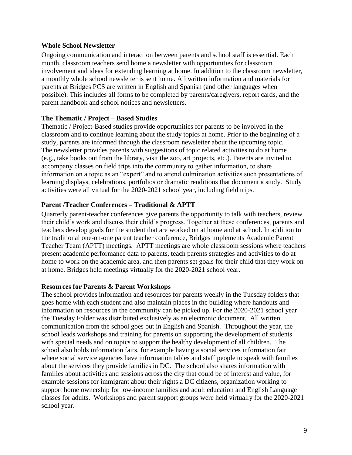#### **Whole School Newsletter**

Ongoing communication and interaction between parents and school staff is essential. Each month, classroom teachers send home a newsletter with opportunities for classroom involvement and ideas for extending learning at home. In addition to the classroom newsletter, a monthly whole school newsletter is sent home. All written information and materials for parents at Bridges PCS are written in English and Spanish (and other languages when possible). This includes all forms to be completed by parents/caregivers, report cards, and the parent handbook and school notices and newsletters.

#### **The Thematic / Project – Based Studies**

Thematic / Project-Based studies provide opportunities for parents to be involved in the classroom and to continue learning about the study topics at home. Prior to the beginning of a study, parents are informed through the classroom newsletter about the upcoming topic. The newsletter provides parents with suggestions of topic related activities to do at home (e.g., take books out from the library, visit the zoo, art projects, etc.). Parents are invited to accompany classes on field trips into the community to gather information, to share information on a topic as an "expert" and to attend culmination activities such presentations of learning displays, celebrations, portfolios or dramatic renditions that document a study. Study activities were all virtual for the 2020-2021 school year, including field trips.

#### **Parent /Teacher Conferences – Traditional & APTT**

Quarterly parent-teacher conferences give parents the opportunity to talk with teachers, review their child's work and discuss their child's progress. Together at these conferences, parents and teachers develop goals for the student that are worked on at home and at school. In addition to the traditional one-on-one parent teacher conference, Bridges implements Academic Parent Teacher Team (APTT) meetings. APTT meetings are whole classroom sessions where teachers present academic performance data to parents, teach parents strategies and activities to do at home to work on the academic area, and then parents set goals for their child that they work on at home. Bridges held meetings virtually for the 2020-2021 school year.

#### **Resources for Parents & Parent Workshops**

The school provides information and resources for parents weekly in the Tuesday folders that goes home with each student and also maintain places in the building where handouts and information on resources in the community can be picked up. For the 2020-2021 school year the Tuesday Folder was distributed exclusively as an electronic document. All written communication from the school goes out in English and Spanish. Throughout the year, the school leads workshops and training for parents on supporting the development of students with special needs and on topics to support the healthy development of all children. The school also holds information fairs, for example having a social services information fair where social service agencies have information tables and staff people to speak with families about the services they provide families in DC. The school also shares information with families about activities and sessions across the city that could be of interest and value, for example sessions for immigrant about their rights a DC citizens, organization working to support home ownership for low-income families and adult education and English Language classes for adults. Workshops and parent support groups were held virtually for the 2020-2021 school year.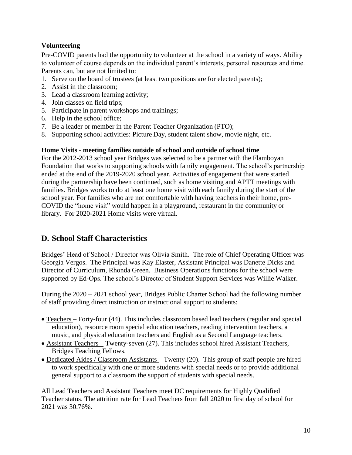### **Volunteering**

Pre-COVID parents had the opportunity to volunteer at the school in a variety of ways. Ability to volunteer of course depends on the individual parent's interests, personal resources and time. Parents can, but are not limited to:

- 1. Serve on the board of trustees (at least two positions are for elected parents);
- 2. Assist in the classroom;
- 3. Lead a classroom learning activity;
- 4. Join classes on field trips;
- 5. Participate in parent workshops and trainings;
- 6. Help in the school office;
- 7. Be a leader or member in the Parent Teacher Organization (PTO);
- 8. Supporting school activities: Picture Day, student talent show, movie night, etc.

#### **Home Visits** - **meeting families outside of school and outside of school time**

For the 2012-2013 school year Bridges was selected to be a partner with the Flamboyan Foundation that works to supporting schools with family engagement. The school's partnership ended at the end of the 2019-2020 school year. Activities of engagement that were started during the partnership have been continued, such as home visiting and APTT meetings with families. Bridges works to do at least one home visit with each family during the start of the school year. For families who are not comfortable with having teachers in their home, pre-COVID the "home visit" would happen in a playground, restaurant in the community or library. For 2020-2021 Home visits were virtual.

### **D. School Staff Characteristics**

Bridges' Head of School / Director was Olivia Smith. The role of Chief Operating Officer was Georgia Vergos. The Principal was Kay Elaster, Assistant Principal was Danette Dicks and Director of Curriculum, Rhonda Green. Business Operations functions for the school were supported by Ed-Ops. The school's Director of Student Support Services was Willie Walker.

During the 2020 – 2021 school year, Bridges Public Charter School had the following number of staff providing direct instruction or instructional support to students:

- Teachers Forty-four (44). This includes classroom based lead teachers (regular and special education), resource room special education teachers, reading intervention teachers, a music, and physical education teachers and English as a Second Language teachers.
- Assistant Teachers Twenty-seven (27). This includes school hired Assistant Teachers, Bridges Teaching Fellows.
- Dedicated Aides / Classroom Assistants Twenty (20). This group of staff people are hired to work specifically with one or more students with special needs or to provide additional general support to a classroom the support of students with special needs.

All Lead Teachers and Assistant Teachers meet DC requirements for Highly Qualified Teacher status. The attrition rate for Lead Teachers from fall 2020 to first day of school for 2021 was 30.76%.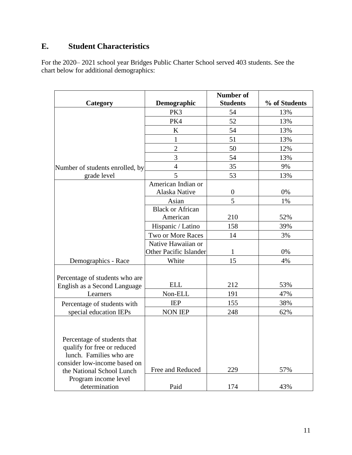### **E. Student Characteristics**

For the 2020– 2021 school year Bridges Public Charter School served 403 students. See the chart below for additional demographics:

|                                                                                                                                                    |                                     | <b>Number of</b> |               |
|----------------------------------------------------------------------------------------------------------------------------------------------------|-------------------------------------|------------------|---------------|
| Category                                                                                                                                           | Demographic                         | <b>Students</b>  | % of Students |
|                                                                                                                                                    | PK3                                 | 54               | 13%           |
|                                                                                                                                                    | PK4                                 | 52               | 13%           |
|                                                                                                                                                    | $\bf K$                             | 54               | 13%           |
|                                                                                                                                                    | 1                                   | 51               | 13%           |
|                                                                                                                                                    | $\overline{2}$                      | 50               | 12%           |
|                                                                                                                                                    | $\overline{3}$                      | 54               | 13%           |
| Number of students enrolled, by                                                                                                                    | $\overline{4}$                      | 35               | 9%            |
| grade level                                                                                                                                        | 5                                   | 53               | 13%           |
|                                                                                                                                                    | American Indian or                  |                  |               |
|                                                                                                                                                    | Alaska Native                       | $\boldsymbol{0}$ | 0%            |
|                                                                                                                                                    | Asian                               | 5                | 1%            |
|                                                                                                                                                    | <b>Black or African</b><br>American | 210              | 52%           |
|                                                                                                                                                    | Hispanic / Latino                   | 158              | 39%           |
|                                                                                                                                                    | Two or More Races                   | 14               | 3%            |
|                                                                                                                                                    | Native Hawaiian or                  |                  |               |
|                                                                                                                                                    | <b>Other Pacific Islander</b>       | 1                | 0%            |
| Demographics - Race                                                                                                                                | White                               | 15               | 4%            |
|                                                                                                                                                    |                                     |                  |               |
| Percentage of students who are                                                                                                                     |                                     |                  |               |
| English as a Second Language                                                                                                                       | <b>ELL</b>                          | 212              | 53%           |
| Learners                                                                                                                                           | Non-ELL                             | 191              | 47%           |
| Percentage of students with                                                                                                                        | <b>IEP</b>                          | 155              | 38%           |
| special education IEPs                                                                                                                             | <b>NON IEP</b>                      | 248              | 62%           |
|                                                                                                                                                    |                                     |                  |               |
| Percentage of students that<br>qualify for free or reduced<br>lunch. Families who are<br>consider low-income based on<br>the National School Lunch | Free and Reduced                    | 229              | 57%           |
| Program income level                                                                                                                               |                                     |                  |               |
| determination                                                                                                                                      | Paid                                | 174              | 43%           |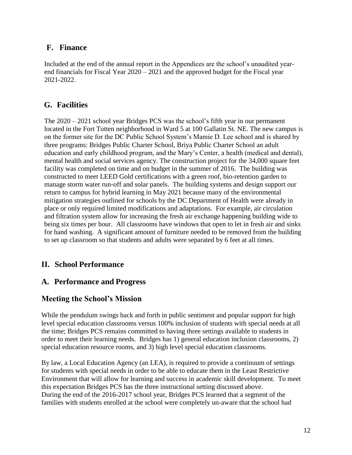### **F. Finance**

Included at the end of the annual report in the Appendices are the school's unaudited yearend financials for Fiscal Year 2020 – 2021 and the approved budget for the Fiscal year 2021-2022.

### **G. Facilities**

The 2020 – 2021 school year Bridges PCS was the school's fifth year in our permanent located in the Fort Totten neighborhood in Ward 5 at 100 Gallatin St. NE. The new campus is on the former site for the DC Public School System's Mamie D. Lee school and is shared by three programs: Bridges Public Charter School, Briya Public Charter School an adult education and early childhood program, and the Mary's Center, a health (medical and dental), mental health and social services agency. The construction project for the 34,000 square feet facility was completed on time and on budget in the summer of 2016. The building was constructed to meet LEED Gold certifications with a green roof, bio-retention garden to manage storm water run-off and solar panels. The building systems and design support our return to campus for hybrid learning in May 2021 because many of the environmental mitigation strategies outlined for schools by the DC Department of Health were already in place or only required limited modifications and adaptations. For example, air circulation and filtration system allow for increasing the fresh air exchange happening building wide to being six times per hour. All classrooms have windows that open to let in fresh air and sinks for hand washing. A significant amount of furniture needed to be removed from the building to set up classroom so that students and adults were separated by 6 feet at all times.

### **II. School Performance**

### **A. Performance and Progress**

### **Meeting the School's Mission**

While the pendulum swings back and forth in public sentiment and popular support for high level special education classrooms versus 100% inclusion of students with special needs at all the time; Bridges PCS remains committed to having three settings available to students in order to meet their learning needs. Bridges has 1) general education inclusion classrooms, 2) special education resource rooms, and 3) high level special education classrooms.

By law, a Local Education Agency (an LEA), is required to provide a continuum of settings for students with special needs in order to be able to educate them in the Least Restrictive Environment that will allow for learning and success in academic skill development. To meet this expectation Bridges PCS has the three instructional setting discussed above. During the end of the 2016-2017 school year, Bridges PCS learned that a segment of the families with students enrolled at the school were completely un-aware that the school had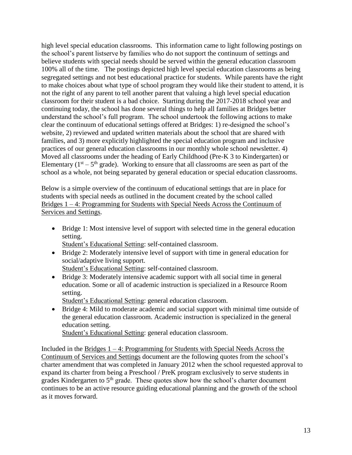high level special education classrooms. This information came to light following postings on the school's parent listserve by families who do not support the continuum of settings and believe students with special needs should be served within the general education classroom 100% all of the time. The postings depicted high level special education classrooms as being segregated settings and not best educational practice for students. While parents have the right to make choices about what type of school program they would like their student to attend, it is not the right of any parent to tell another parent that valuing a high level special education classroom for their student is a bad choice. Starting during the 2017-2018 school year and continuing today, the school has done several things to help all families at Bridges better understand the school's full program. The school undertook the following actions to make clear the continuum of educational settings offered at Bridges: 1) re-designed the school's website, 2) reviewed and updated written materials about the school that are shared with families, and 3) more explicitly highlighted the special education program and inclusive practices of our general education classrooms in our monthly whole school newsletter. 4) Moved all classrooms under the heading of Early Childhood (Pre-K 3 to Kindergarten) or Elementary ( $1<sup>st</sup> - 5<sup>th</sup>$  grade). Working to ensure that all classrooms are seen as part of the school as a whole, not being separated by general education or special education classrooms.

Below is a simple overview of the continuum of educational settings that are in place for students with special needs as outlined in the document created by the school called Bridges 1 – 4: Programming for Students with Special Needs Across the Continuum of Services and Settings.

• Bridge 1: Most intensive level of support with selected time in the general education setting.

Student's Educational Setting: self-contained classroom.

- Bridge 2: Moderately intensive level of support with time in general education for social/adaptive living support.
	- Student's Educational Setting: self-contained classroom.
- Bridge 3: Moderately intensive academic support with all social time in general education. Some or all of academic instruction is specialized in a Resource Room setting.

Student's Educational Setting: general education classroom.

• Bridge 4: Mild to moderate academic and social support with minimal time outside of the general education classroom. Academic instruction is specialized in the general education setting.

Student's Educational Setting: general education classroom.

Included in the Bridges  $1 - 4$ : Programming for Students with Special Needs Across the Continuum of Services and Settings document are the following quotes from the school's charter amendment that was completed in January 2012 when the school requested approval to expand its charter from being a Preschool / PreK program exclusively to serve students in grades Kindergarten to  $5<sup>th</sup>$  grade. These quotes show how the school's charter document continues to be an active resource guiding educational planning and the growth of the school as it moves forward.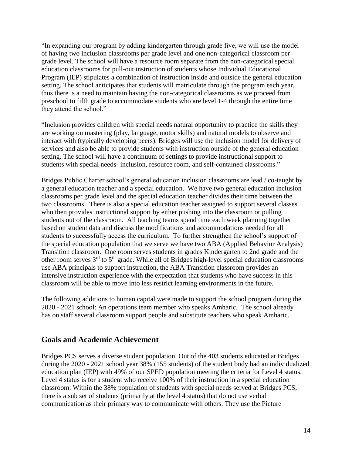"In expanding our program by adding kindergarten through grade five, we will use the model of having two inclusion classrooms per grade level and one non-categorical classroom per grade level. The school will have a resource room separate from the non-categorical special education classrooms for pull-out instruction of students whose Individual Educational Program (IEP) stipulates a combination of instruction inside and outside the general education setting. The school anticipates that students will matriculate through the program each year, thus there is a need to maintain having the non-categorical classrooms as we proceed from preschool to fifth grade to accommodate students who are level 1-4 through the entire time they attend the school."

"Inclusion provides children with special needs natural opportunity to practice the skills they are working on mastering (play, language, motor skills) and natural models to observe and interact with (typically developing peers). Bridges will use the inclusion model for delivery of services and also be able to provide students with instruction outside of the general education setting. The school will have a continuum of settings to provide instructional support to students with special needs- inclusion, resource room, and self-contained classrooms."

Bridges Public Charter school's general education inclusion classrooms are lead / co-taught by a general education teacher and a special education. We have two general education inclusion classrooms per grade level and the special education teacher divides their time between the two classrooms. There is also a special education teacher assigned to support several classes who then provides instructional support by either pushing into the classroom or pulling students out of the classroom. All teaching teams spend time each week planning together based on student data and discuss the modifications and accommodations needed for all students to successfully access the curriculum. To further strengthen the school's support of the special education population that we serve we have two ABA (Applied Behavior Analysis) Transition classroom. One room serves students in grades Kindergarten to 2nd grade and the other room serves 3<sup>rd</sup> to 5<sup>th</sup> grade. While all of Bridges high-level special education classrooms use ABA principals to support instruction, the ABA Transition classroom provides an intensive instruction experience with the expectation that students who have success in this classroom will be able to move into less restrict learning environments in the future.

The following additions to human capital were made to support the school program during the 2020 - 2021 school: An operations team member who speaks Amharic. The school already has on staff several classroom support people and substitute teachers who speak Amharic.

### **Goals and Academic Achievement**

Bridges PCS serves a diverse student population. Out of the 403 students educated at Bridges during the 2020 - 2021 school year 38% (155 students) of the student body had an individualized education plan (IEP) with 49% of our SPED population meeting the criteria for Level 4 status. Level 4 status is for a student who receive 100% of their instruction in a special education classroom. Within the 38% population of students with special needs served at Bridges PCS, there is a sub set of students (primarily at the level 4 status) that do not use verbal communication as their primary way to communicate with others. They use the Picture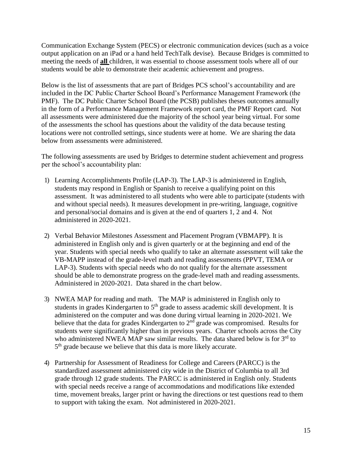Communication Exchange System (PECS) or electronic communication devices (such as a voice output application on an iPad or a hand held TechTalk devise). Because Bridges is committed to meeting the needs of **all** children, it was essential to choose assessment tools where all of our students would be able to demonstrate their academic achievement and progress.

Below is the list of assessments that are part of Bridges PCS school's accountability and are included in the DC Public Charter School Board's Performance Management Framework (the PMF). The DC Public Charter School Board (the PCSB) publishes theses outcomes annually in the form of a Performance Management Framework report card, the PMF Report card. Not all assessments were administered due the majority of the school year being virtual. For some of the assessments the school has questions about the validity of the data because testing locations were not controlled settings, since students were at home. We are sharing the data below from assessments were administered.

The following assessments are used by Bridges to determine student achievement and progress per the school's accountability plan:

- 1) Learning Accomplishments Profile (LAP-3). The LAP-3 is administered in English, students may respond in English or Spanish to receive a qualifying point on this assessment. It was administered to all students who were able to participate (students with and without special needs). It measures development in pre-writing, language, cognitive and personal/social domains and is given at the end of quarters 1, 2 and 4. Not administered in 2020-2021.
- 2) Verbal Behavior Milestones Assessment and Placement Program (VBMAPP). It is administered in English only and is given quarterly or at the beginning and end of the year. Students with special needs who qualify to take an alternate assessment will take the VB-MAPP instead of the grade-level math and reading assessments (PPVT, TEMA or LAP-3). Students with special needs who do not qualify for the alternate assessment should be able to demonstrate progress on the grade-level math and reading assessments. Administered in 2020-2021. Data shared in the chart below.
- 3) NWEA MAP for reading and math. The MAP is administered in English only to students in grades Kindergarten to 5<sup>th</sup> grade to assess academic skill development. It is administered on the computer and was done during virtual learning in 2020-2021. We believe that the data for grades Kindergarten to  $2<sup>nd</sup>$  grade was compromised. Results for students were significantly higher than in previous years. Charter schools across the City who administered NWEA MAP saw similar results. The data shared below is for  $3<sup>rd</sup>$  to 5<sup>th</sup> grade because we believe that this data is more likely accurate.
- 4) Partnership for Assessment of Readiness for College and Careers (PARCC) is the standardized assessment administered city wide in the District of Columbia to all 3rd grade through 12 grade students. The PARCC is administered in English only. Students with special needs receive a range of accommodations and modifications like extended time, movement breaks, larger print or having the directions or test questions read to them to support with taking the exam. Not administered in 2020-2021.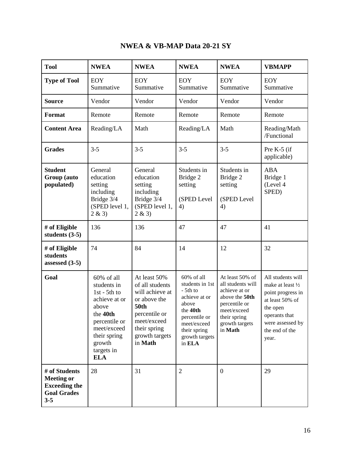| <b>Tool</b>                                                                                 | <b>NWEA</b>                                                                                                                                                             | <b>NWEA</b>                                                                                                                                                    | <b>NWEA</b>                                                                                                                                                 | <b>NWEA</b>                                                                                                                                          | <b>VBMAPP</b>                                                                                                                                              |
|---------------------------------------------------------------------------------------------|-------------------------------------------------------------------------------------------------------------------------------------------------------------------------|----------------------------------------------------------------------------------------------------------------------------------------------------------------|-------------------------------------------------------------------------------------------------------------------------------------------------------------|------------------------------------------------------------------------------------------------------------------------------------------------------|------------------------------------------------------------------------------------------------------------------------------------------------------------|
| <b>Type of Tool</b>                                                                         | <b>EOY</b><br>Summative                                                                                                                                                 | <b>EOY</b><br>Summative                                                                                                                                        | <b>EOY</b><br>Summative                                                                                                                                     | <b>EOY</b><br>Summative                                                                                                                              | <b>EOY</b><br>Summative                                                                                                                                    |
| <b>Source</b>                                                                               | Vendor                                                                                                                                                                  | Vendor                                                                                                                                                         | Vendor                                                                                                                                                      | Vendor                                                                                                                                               | Vendor                                                                                                                                                     |
| <b>Format</b>                                                                               | Remote                                                                                                                                                                  | Remote                                                                                                                                                         | Remote                                                                                                                                                      | Remote                                                                                                                                               | Remote                                                                                                                                                     |
| <b>Content Area</b>                                                                         | Reading/LA                                                                                                                                                              | Math                                                                                                                                                           | Reading/LA                                                                                                                                                  | Math                                                                                                                                                 | Reading/Math<br>/Functional                                                                                                                                |
| <b>Grades</b>                                                                               | $3 - 5$                                                                                                                                                                 | $3 - 5$                                                                                                                                                        | $3 - 5$                                                                                                                                                     | $3 - 5$                                                                                                                                              | Pre K-5 (if<br>applicable)                                                                                                                                 |
| <b>Student</b><br>Group (auto<br>populated)                                                 | General<br>education<br>setting<br>including<br>Bridge 3/4<br>(SPED level 1,<br>2 & 3)                                                                                  | General<br>education<br>setting<br>including<br>Bridge 3/4<br>(SPED level 1,<br>2 & 3)                                                                         | Students in<br>Bridge 2<br>setting<br>(SPED Level<br>4)                                                                                                     | Students in<br>Bridge 2<br>setting<br>(SPED Level<br>4)                                                                                              | <b>ABA</b><br>Bridge 1<br>(Level 4<br>SPED)                                                                                                                |
| # of Eligible<br>students $(3-5)$                                                           | 136                                                                                                                                                                     | 136                                                                                                                                                            | 47                                                                                                                                                          | 47                                                                                                                                                   | 41                                                                                                                                                         |
| # of Eligible<br>students<br>assessed (3-5)                                                 | 74                                                                                                                                                                      | 84                                                                                                                                                             | 14                                                                                                                                                          | 12                                                                                                                                                   | 32                                                                                                                                                         |
| Goal                                                                                        | 60% of all<br>students in<br>$1st - 5th to$<br>achieve at or<br>above<br>the 40th<br>percentile or<br>meet/exceed<br>their spring<br>growth<br>targets in<br><b>ELA</b> | At least 50%<br>of all students<br>will achieve at<br>or above the<br><b>50th</b><br>percentile or<br>meet/exceed<br>their spring<br>growth targets<br>in Math | 60% of all<br>students in 1st<br>- 5th to<br>achieve at or<br>above<br>the 40th<br>percentile or<br>meet/exceed<br>their spring<br>growth targets<br>in ELA | At least 50% of<br>all students will<br>achieve at or<br>above the 50th<br>percentile or<br>meet/exceed<br>their spring<br>growth targets<br>in Math | All students will<br>make at least 1/2<br>point progress in<br>at least 50% of<br>the open<br>operants that<br>were assessed by<br>the end of the<br>year. |
| # of Students<br><b>Meeting or</b><br><b>Exceeding the</b><br><b>Goal Grades</b><br>$3 - 5$ | 28                                                                                                                                                                      | 31                                                                                                                                                             | $\overline{2}$                                                                                                                                              | $\boldsymbol{0}$                                                                                                                                     | 29                                                                                                                                                         |

### **NWEA & VB-MAP Data 20-21 SY**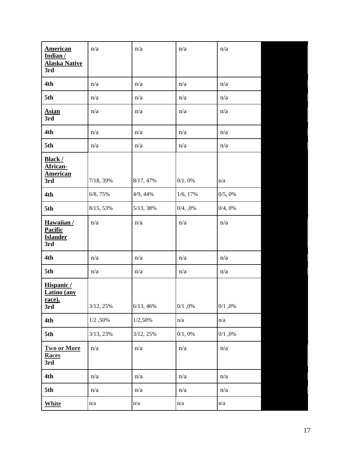| <b>American</b><br>Indian/<br><b>Alaska Native</b><br>3rd | n/a       | n/a       | n/a      | n/a    |
|-----------------------------------------------------------|-----------|-----------|----------|--------|
| 4th                                                       | n/a       | n/a       | n/a      | n/a    |
| 5th                                                       | n/a       | n/a       | n/a      | n/a    |
| <b>Asian</b><br>3rd                                       | n/a       | n/a       | n/a      | n/a    |
| 4th                                                       | n/a       | n/a       | n/a      | n/a    |
| 5th                                                       | n/a       | n/a       | n/a      | n/a    |
| <b>Black/</b><br>African-<br><b>American</b><br>3rd       | 7/18, 39% | 8/17, 47% | 0/1,0%   | n/a    |
| 4th                                                       | 6/8, 75%  | 4/9, 44%  | 1/6, 17% | 0/5,0% |
| 5th                                                       | 8/15, 53% | 5/13, 38% | 0/4, 0%  | 0/4,0% |
| Hawaiian/<br><b>Pacific</b><br><b>Islander</b><br>3rd     | n/a       | n/a       | n/a      | n/a    |
| 4th                                                       | n/a       | n/a       | n/a      | n/a    |
| 5th                                                       | n/a       | n/a       | n/a      | n/a    |
| Hispanic/<br>Latino (any<br><u>race),</u><br>3rd          | 3/12, 25% | 6/13, 46% | 0/1,0%   | 0/1,0% |
| 4th                                                       | 1/2,50%   | 1/2,50%   | n/a      | n/a    |
| 5th                                                       | 3/13, 23% | 3/12, 25% | 0/1,0%   | 0/1,0% |
| <b>Two or More</b><br><b>Races</b><br>3rd                 | n/a       | n/a       | n/a      | n/a    |
| 4th                                                       | n/a       | n/a       | n/a      | n/a    |
| 5th                                                       | n/a       | n/a       | n/a      | n/a    |
| <b>White</b>                                              | n/a       | n/a       | n/a      | n/a    |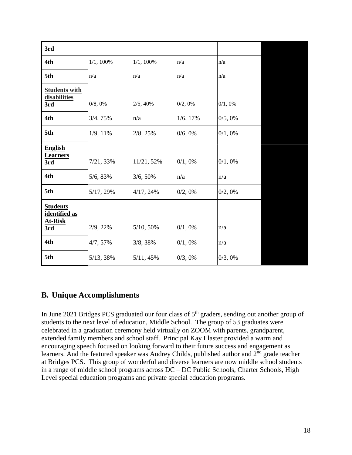| 3rd                                                       |              |            |          |         |
|-----------------------------------------------------------|--------------|------------|----------|---------|
| 4th                                                       | $1/1, 100\%$ | 1/1, 100%  | n/a      | n/a     |
| 5th                                                       | n/a          | n/a        | n/a      | n/a     |
| <b>Students with</b><br>disabilities<br>3rd               | 0/8, 0%      | 2/5, 40%   | 0/2,0%   | 0/1,0%  |
| 4th                                                       | 3/4, 75%     | n/a        | 1/6, 17% | 0/5,0%  |
| 5th                                                       | 1/9, 11%     | 2/8, 25%   | 0/6, 0%  | 0/1,0%  |
| <b>English</b><br><b>Learners</b><br>3rd                  | 7/21, 33%    | 11/21, 52% | 0/1,0%   | 0/1,0%  |
| 4th                                                       | 5/6, 83%     | 3/6, 50%   | n/a      | n/a     |
| 5th                                                       | 5/17, 29%    | 4/17, 24%  | 0/2, 0%  | 0/2, 0% |
| <b>Students</b><br>identified as<br><b>At-Risk</b><br>3rd | 2/9, 22%     | 5/10, 50%  | 0/1,0%   | n/a     |
| 4th                                                       | 4/7, 57%     | 3/8, 38%   | 0/1,0%   | n/a     |
| 5th                                                       | 5/13, 38%    | 5/11, 45%  | 0/3,0%   | 0/3,0%  |

### **B. Unique Accomplishments**

In June 2021 Bridges PCS graduated our four class of  $5<sup>th</sup>$  graders, sending out another group of students to the next level of education, Middle School. The group of 53 graduates were celebrated in a graduation ceremony held virtually on ZOOM with parents, grandparent, extended family members and school staff. Principal Kay Elaster provided a warm and encouraging speech focused on looking forward to their future success and engagement as learners. And the featured speaker was Audrey Childs, published author and  $2<sup>nd</sup>$  grade teacher at Bridges PCS. This group of wonderful and diverse learners are now middle school students in a range of middle school programs across DC – DC Public Schools, Charter Schools, High Level special education programs and private special education programs.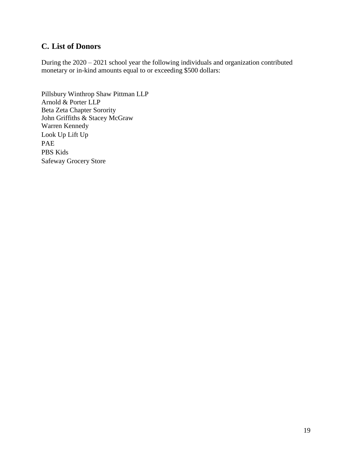### **C. List of Donors**

During the 2020 – 2021 school year the following individuals and organization contributed monetary or in-kind amounts equal to or exceeding \$500 dollars:

Pillsbury Winthrop Shaw Pittman LLP Arnold & Porter LLP Beta Zeta Chapter Sorority John Griffiths & Stacey McGraw Warren Kennedy Look Up Lift Up PAE PBS Kids Safeway Grocery Store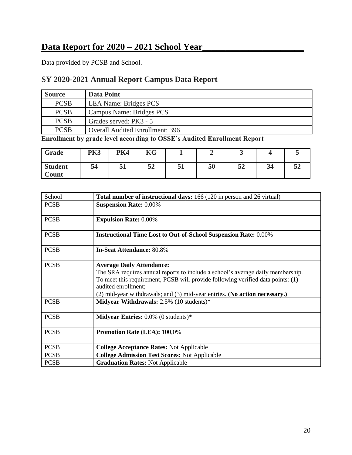### **Data Report for 2020 – 2021 School Year\_\_\_\_\_\_\_\_\_\_\_\_\_\_\_\_\_\_\_\_\_\_**

Data provided by PCSB and School.

### **SY 2020-2021 Annual Report Campus Data Report**

| <b>Source</b> | Data Point                             |
|---------------|----------------------------------------|
| <b>PCSB</b>   | <b>LEA Name: Bridges PCS</b>           |
| <b>PCSB</b>   | Campus Name: Bridges PCS               |
| <b>PCSB</b>   | Grades served: PK3 - 5                 |
| <b>PCSB</b>   | <b>Overall Audited Enrollment: 396</b> |

**Enrollment by grade level according to OSSE's Audited Enrollment Report**

| Grade                          | <b>PK3</b> | <b>PK4</b> | KG |    |    | ັ        |    |     |
|--------------------------------|------------|------------|----|----|----|----------|----|-----|
| <b>Student</b><br><b>Count</b> | 54         | 51         | 52 | 51 | 50 | EΛ<br>34 | 34 | JZ. |

| School      | Total number of instructional days: 166 (120 in person and 26 virtual)                                                                                                                                                                                                                                          |
|-------------|-----------------------------------------------------------------------------------------------------------------------------------------------------------------------------------------------------------------------------------------------------------------------------------------------------------------|
| <b>PCSB</b> | <b>Suspension Rate: 0.00%</b>                                                                                                                                                                                                                                                                                   |
| <b>PCSB</b> | <b>Expulsion Rate: 0.00%</b>                                                                                                                                                                                                                                                                                    |
| <b>PCSB</b> | <b>Instructional Time Lost to Out-of-School Suspension Rate: 0.00%</b>                                                                                                                                                                                                                                          |
| <b>PCSB</b> | <b>In-Seat Attendance: 80.8%</b>                                                                                                                                                                                                                                                                                |
| <b>PCSB</b> | <b>Average Daily Attendance:</b><br>The SRA requires annual reports to include a school's average daily membership.<br>To meet this requirement, PCSB will provide following verified data points: (1)<br>audited enrollment;<br>$(2)$ mid-year withdrawals; and $(3)$ mid-year entries. (No action necessary.) |
| <b>PCSB</b> | Midyear Withdrawals: 2.5% (10 students)*                                                                                                                                                                                                                                                                        |
| <b>PCSB</b> | <b>Midyear Entries:</b> $0.0\%$ (0 students)*                                                                                                                                                                                                                                                                   |
| <b>PCSB</b> | <b>Promotion Rate (LEA): 100,0%</b>                                                                                                                                                                                                                                                                             |
| <b>PCSB</b> | <b>College Acceptance Rates: Not Applicable</b>                                                                                                                                                                                                                                                                 |
| <b>PCSB</b> | <b>College Admission Test Scores: Not Applicable</b>                                                                                                                                                                                                                                                            |
| <b>PCSB</b> | <b>Graduation Rates: Not Applicable</b>                                                                                                                                                                                                                                                                         |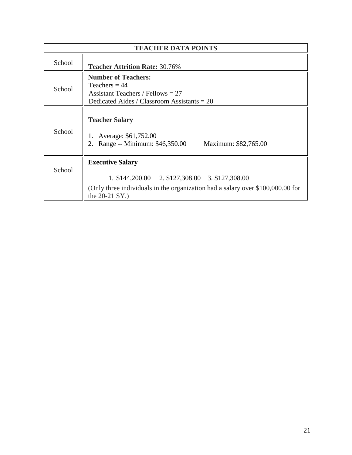|        | <b>TEACHER DATA POINTS</b>                                                                                                                                                       |
|--------|----------------------------------------------------------------------------------------------------------------------------------------------------------------------------------|
| School | <b>Teacher Attrition Rate: 30.76%</b>                                                                                                                                            |
| School | <b>Number of Teachers:</b><br>Teachers = $44$<br>Assistant Teachers / Fellows $= 27$<br>Dedicated Aides / Classroom Assistants $= 20$                                            |
| School | <b>Teacher Salary</b><br>Average: \$61,752.00<br>2. Range -- Minimum: \$46,350.00<br>Maximum: \$82,765.00                                                                        |
| School | <b>Executive Salary</b><br>1. \$144,200.00 2. \$127,308.00 3. \$127,308.00<br>(Only three individuals in the organization had a salary over \$100,000.00 for<br>the $20-21$ SY.) |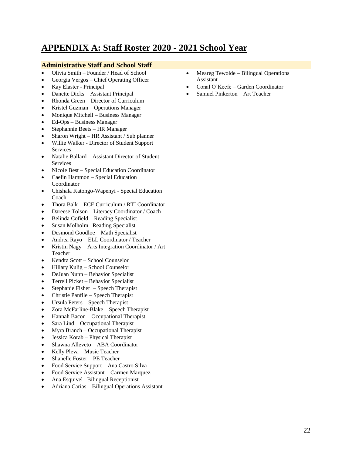### **APPENDIX A: Staff Roster 2020 - 2021 School Year**

#### **Administrative Staff and School Staff**

- Olivia Smith Founder / Head of School
- Georgia Vergos Chief Operating Officer
- Kay Elaster Principal
- Danette Dicks Assistant Principal
- Rhonda Green Director of Curriculum
- Kristel Guzman Operations Manager
- Monique Mitchell Business Manager
- Ed-Ops Business Manager
- Stephannie Beets HR Manager
- Sharon Wright HR Assistant / Sub planner
- Willie Walker Director of Student Support Services
- Natalie Ballard Assistant Director of Student **Services**
- Nicole Best Special Education Coordinator
- Caelin Hammon Special Education Coordinator
- Chishala Katongo-Wapenyi Special Education Coach
- Thora Balk ECE Curriculum / RTI Coordinator
- Dareese Tolson Literacy Coordinator / Coach
- Belinda Cofield Reading Specialist
- Susan Molholm– Reading Specialist
- Desmond Goodloe Math Specialist
- Andrea Rayo ELL Coordinator / Teacher
- Kristin Nagy Arts Integration Coordinator / Art Teacher
- Kendra Scott School Counselor
- Hillary Kulig School Counselor
- DeJuan Nunn Behavior Specialist
- Terrell Picket Behavior Specialist
- Stephanie Fisher Speech Therapist
- Christie Panfile Speech Therapist
- Ursula Peters Speech Therapist
- Zora McFarline-Blake Speech Therapist
- Hannah Bacon Occupational Therapist
- Sara Lind Occupational Therapist
- Myra Branch Occupational Therapist
- Jessica Korab Physical Therapist
- Shawna Alleveto ABA Coordinator
- Kelly Pleva Music Teacher
- Shanelle Foster PE Teacher
- Food Service Support Ana Castro Silva
- Food Service Assistant Carmen Marquez
- Ana Esquivel– Bilingual Receptionist
- Adriana Carias Bilingual Operations Assistant
- Meareg Tewolde Bilingual Operations Assistant
- Conal O'Keefe Garden Coordinator
- Samuel Pinkerton Art Teacher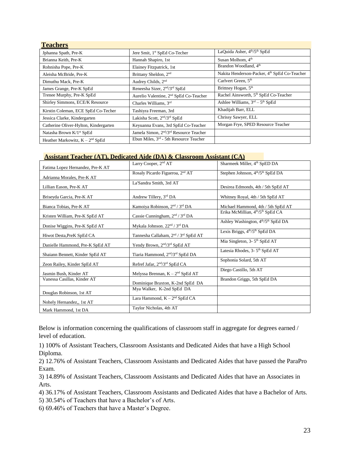| <b>Teachers</b>                       |                                                                 |                                                          |
|---------------------------------------|-----------------------------------------------------------------|----------------------------------------------------------|
| Jphanna Spath, Pre-K                  | Jere Smit, 1 <sup>st</sup> SpEd Co-Techer                       | LaQuida Asher, 4 <sup>th</sup> /5 <sup>th</sup> SpEd     |
| Brianna Keith, Pre-K                  | Hannah Shapiro, 1st                                             | Susan Molhom, 4 <sup>th</sup>                            |
| Rohnisha Pope, Pre-K                  | Elainey Fitzpatrick, 1st                                        | Brandon Woodland, 4 <sup>th</sup>                        |
| Aleisha McBride, Pre-K                | Brittany Sheldon, 2 <sup>nd</sup>                               | Nakita Henderson-Packer, 4 <sup>th</sup> SpEd Co-Teacher |
| Dimuthu Mack, Pre-K                   | Audrey Childs, 2 <sup>nd</sup>                                  | Carlvert Green, 5 <sup>th</sup>                          |
| James Grange, Pre-K SpEd              | Reneesha Sizer, 2 <sup>nd</sup> /3 <sup>rd</sup> SpEd           | Brittney Hogan, 5 <sup>th</sup>                          |
| Trenee Murphy, Pre-K SpEd             | Aurelio Valentine, 2 <sup>nd</sup> SpEd Co-Teacher              | Rachel Ainsworth, 5 <sup>th</sup> SpEd Co-Teacher        |
| Shirley Simmons, ECE/K Resource       | Charles Williams, 3rd                                           | Ashlee Williams, $3rd - 5th$ SpEd                        |
| Kirstin Coleman, ECE SpEd Co-Techer   | Tashiyra Freeman, 3rd                                           | Khadijah Barr, ELL                                       |
| Jessica Clarke, Kindergarten          | Lakisha Scott, 2 <sup>nd</sup> /3 <sup>rd</sup> SpEd            | Chrissy Sawyer, ELL                                      |
| Catherine Oliver-Hylton, Kindergarten | Keyuanna Evans, 3rd SpEd Co-Teacher                             | Morgan Frye, SPED Resource Teacher                       |
| Natasha Brown K/1 <sup>st</sup> SpEd  | Jamela Simon, 2 <sup>nd</sup> /3 <sup>rd</sup> Resource Teacher |                                                          |
| Heather Markowitz, $K - 2nd$ SpEd     | Ebun Miles, $3rd$ - 5th Resource Teacher                        |                                                          |

#### **Assistant Teacher (AT), Dedicated Aide (DA) & Classroom Assistant (CA)**

|                                  | Larry Cooper, 2 <sup>nd</sup> AT                             | Sharmeek Miller, 4 <sup>th</sup> SpED DA                    |
|----------------------------------|--------------------------------------------------------------|-------------------------------------------------------------|
| Fatima Lopez Hernandez, Pre-K AT |                                                              |                                                             |
| Adrianna Morales, Pre-K AT       | Rosaly Picardo Figueroa, 2 <sup>nd</sup> AT                  | Stephen Johnson, 4 <sup>th</sup> /5 <sup>th</sup> SpEd DA   |
| Lillian Eason, Pre-K AT          | La'Sandra Smith, 3rd AT                                      | Desirea Edmonds, 4th / 5th SpEd AT                          |
| Briseyda Garcia, Pre-K AT        | Andrew Tillery, 3rd DA                                       | Whitney Royal, 4th / 5th SpEd AT                            |
| Bianca Tobias, Pre-K AT          | Kamoiya Robinson, 2 <sup>nd</sup> / 3 <sup>rd</sup> DA       | Michael Hammond, 4th / 5th SpEd AT                          |
| Kristen William, Pre-K SpEd AT   | Cassie Cunningham, $2nd / 3rd DA$                            | Erika McMillian, 4 <sup>th</sup> /5 <sup>th</sup> SpEd CA   |
| Donise Wiggins, Pre-K SpEd AT    | Mykala Johnson. 22 <sup>nd</sup> / 3 <sup>rd</sup> DA        | Ashley Washington, 4 <sup>th</sup> /5 <sup>th</sup> SpEd DA |
| Hiwot Desta, PreK SpEd CA        | Tannesha Callaham, 2 <sup>nd</sup> / 3 <sup>rd</sup> SpEd AT | Lexis Briggs, 4 <sup>th</sup> /5 <sup>th</sup> SpEd DA      |
| Danielle Hammond, Pre-K SpEd AT  | Yendy Brown, 2 <sup>nd</sup> /3 <sup>rd</sup> SpEd AT        | Mia Singleton, 3-5 <sup>th</sup> SpEd AT                    |
| Shaiann Bennett, Kinder SpEd AT  | Tiaria Hammond, 2 <sup>nd</sup> /3 <sup>rd</sup> SpEd DA     | Latesia Rhodes, 3-5 <sup>th</sup> SpEd AT                   |
| Zeon Railey, Kinder SpEd AT      | Refref Jafar, 2 <sup>nd</sup> /3 <sup>rd</sup> SpEd CA       | Sophonia Solard, 5th AT                                     |
| Jasmin Bush, Kinder AT           | Melyssa Brennan, $K - 2nd$ SpEd AT                           | Diego Castillo, 5th AT                                      |
| Vanessa Casillas, Kinder AT      | Dominique Braxton, K-2nd SpEd DA                             | Brandon Griggs, 5th SpEd DA                                 |
| Douglas Robinson, 1st AT         | Mya Walker, K-2nd SpEd DA                                    |                                                             |
| Nohely Hernandez,, 1st AT        | Lara Hammond, $K - 2nd$ SpEd CA                              |                                                             |
| Mark Hammond, 1st DA             | Taylor Nicholas, 4th AT                                      |                                                             |

Below is information concerning the qualifications of classroom staff in aggregate for degrees earned / level of education.

1) 100% of Assistant Teachers, Classroom Assistants and Dedicated Aides that have a High School Diploma.

2) 12.76% of Assistant Teachers, Classroom Assistants and Dedicated Aides that have passed the ParaPro Exam.

3) 14.89% of Assistant Teachers, Classroom Assistants and Dedicated Aides that have an Associates in Arts.

4) 36.17% of Assistant Teachers, Classroom Assistants and Dedicated Aides that have a Bachelor of Arts.

5) 30.54% of Teachers that have a Bachelor's of Arts.

6) 69.46% of Teachers that have a Master's Degree.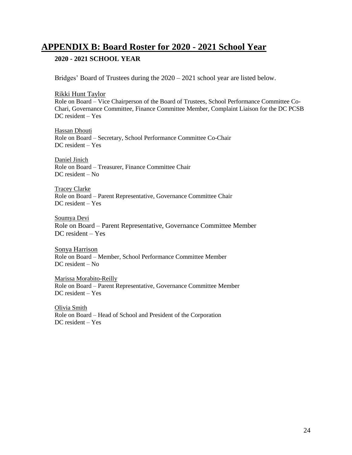### **APPENDIX B: Board Roster for 2020 - 2021 School Year**

### **2020 - 2021 SCHOOL YEAR**

Bridges' Board of Trustees during the 2020 – 2021 school year are listed below.

Rikki Hunt Taylor Role on Board – Vice Chairperson of the Board of Trustees, School Performance Committee Co-Chari, Governance Committee, Finance Committee Member, Complaint Liaison for the DC PCSB DC resident – Yes

Hassan Dhouti Role on Board – Secretary, School Performance Committee Co-Chair DC resident – Yes

Daniel Jinich Role on Board – Treasurer, Finance Committee Chair DC resident – No

Tracey Clarke Role on Board – Parent Representative, Governance Committee Chair DC resident – Yes

Soumya Devi Role on Board – Parent Representative, Governance Committee Member DC resident – Yes

Sonya Harrison Role on Board – Member, School Performance Committee Member DC resident – No

Marissa Morabito-Reilly Role on Board – Parent Representative, Governance Committee Member DC resident – Yes

Olivia Smith Role on Board – Head of School and President of the Corporation DC resident – Yes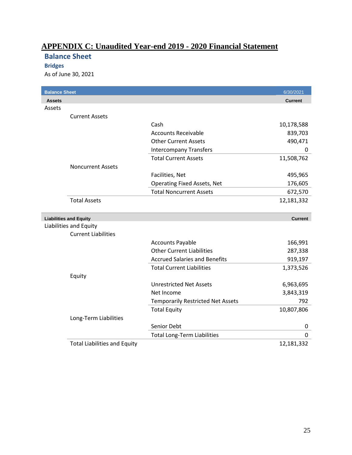### **APPENDIX C: Unaudited Year-end 2019 - 2020 Financial Statement**

### **Balance Sheet**

### **Bridges**

As of June 30, 2021

| <b>Balance Sheet</b> |                                     |                                          | 6/30/2021      |
|----------------------|-------------------------------------|------------------------------------------|----------------|
| <b>Assets</b>        |                                     |                                          | <b>Current</b> |
| Assets               |                                     |                                          |                |
|                      | <b>Current Assets</b>               |                                          |                |
|                      |                                     | Cash                                     | 10,178,588     |
|                      |                                     | <b>Accounts Receivable</b>               | 839,703        |
|                      |                                     | <b>Other Current Assets</b>              | 490,471        |
|                      |                                     | <b>Intercompany Transfers</b>            | 0              |
|                      |                                     | <b>Total Current Assets</b>              | 11,508,762     |
|                      | <b>Noncurrent Assets</b>            |                                          |                |
|                      |                                     | Facilities, Net                          | 495,965        |
|                      |                                     | <b>Operating Fixed Assets, Net</b>       | 176,605        |
|                      |                                     | <b>Total Noncurrent Assets</b>           | 672,570        |
|                      | <b>Total Assets</b>                 |                                          | 12,181,332     |
|                      |                                     |                                          |                |
|                      | <b>Liabilities and Equity</b>       |                                          | <b>Current</b> |
|                      | Liabilities and Equity              |                                          |                |
|                      | <b>Current Liabilities</b>          |                                          |                |
|                      |                                     | <b>Accounts Payable</b>                  | 166,991        |
|                      |                                     | <b>Other Current Liabilities</b>         | 287,338        |
|                      |                                     | <b>Accrued Salaries and Benefits</b>     | 919,197        |
|                      |                                     | <b>Total Current Liabilities</b>         | 1,373,526      |
|                      | Equity                              |                                          |                |
|                      |                                     | <b>Unrestricted Net Assets</b>           | 6,963,695      |
|                      |                                     | Net Income                               | 3,843,319      |
|                      |                                     | <b>Temporarily Restricted Net Assets</b> | 792            |
|                      |                                     | <b>Total Equity</b>                      | 10,807,806     |
|                      | Long-Term Liabilities               |                                          |                |
|                      |                                     | Senior Debt                              | 0              |
|                      |                                     | <b>Total Long-Term Liabilities</b>       | 0              |
|                      | <b>Total Liabilities and Equity</b> |                                          | 12,181,332     |